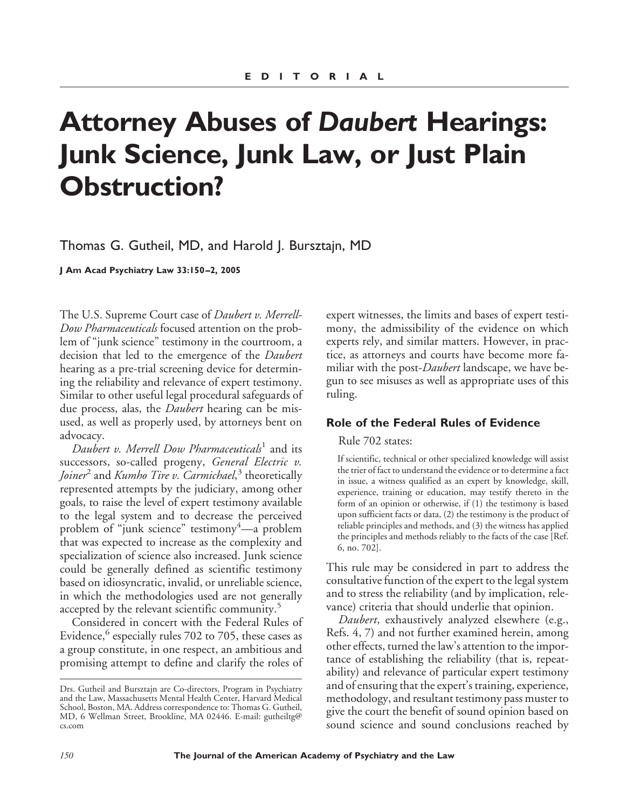# **Attorney Abuses of** *Daubert* **Hearings: Junk Science, Junk Law, or Just Plain Obstruction?**

Thomas G. Gutheil, MD, and Harold J. Bursztajn, MD

**J Am Acad Psychiatry Law 33:150 –2, 2005**

The U.S. Supreme Court case of *Daubert v. Merrell-Dow Pharmaceuticals* focused attention on the problem of "junk science" testimony in the courtroom, a decision that led to the emergence of the *Daubert* hearing as a pre-trial screening device for determining the reliability and relevance of expert testimony. Similar to other useful legal procedural safeguards of due process, alas, the *Daubert* hearing can be misused, as well as properly used, by attorneys bent on advocacy.

*Daubert v. Merrell Dow Pharmaceuticals*<sup>1</sup> and its successors, so-called progeny, *General Electric v. Joiner*<sup>2</sup> and *Kumho Tire v. Carmichael*, <sup>3</sup> theoretically represented attempts by the judiciary, among other goals, to raise the level of expert testimony available to the legal system and to decrease the perceived problem of "junk science" testimony<sup>4</sup>—a problem that was expected to increase as the complexity and specialization of science also increased. Junk science could be generally defined as scientific testimony based on idiosyncratic, invalid, or unreliable science, in which the methodologies used are not generally accepted by the relevant scientific community.<sup>5</sup>

Considered in concert with the Federal Rules of Evidence,<sup>6</sup> especially rules 702 to 705, these cases as a group constitute, in one respect, an ambitious and promising attempt to define and clarify the roles of expert witnesses, the limits and bases of expert testimony, the admissibility of the evidence on which experts rely, and similar matters. However, in practice, as attorneys and courts have become more familiar with the post-*Daubert* landscape, we have begun to see misuses as well as appropriate uses of this ruling.

## **Role of the Federal Rules of Evidence**

## Rule 702 states:

If scientific, technical or other specialized knowledge will assist the trier of fact to understand the evidence or to determine a fact in issue, a witness qualified as an expert by knowledge, skill, experience, training or education, may testify thereto in the form of an opinion or otherwise, if (1) the testimony is based upon sufficient facts or data, (2) the testimony is the product of reliable principles and methods, and (3) the witness has applied the principles and methods reliably to the facts of the case [Ref. 6, no. 702].

This rule may be considered in part to address the consultative function of the expert to the legal system and to stress the reliability (and by implication, relevance) criteria that should underlie that opinion.

*Daubert*, exhaustively analyzed elsewhere (e.g., Refs. 4, 7) and not further examined herein, among other effects, turned the law's attention to the importance of establishing the reliability (that is, repeatability) and relevance of particular expert testimony and of ensuring that the expert's training, experience, methodology, and resultant testimony pass muster to give the court the benefit of sound opinion based on sound science and sound conclusions reached by

Drs. Gutheil and Bursztajn are Co-directors, Program in Psychiatry and the Law, Massachusetts Mental Health Center, Harvard Medical School, Boston, MA. Address correspondence to: Thomas G. Gutheil, MD, 6 Wellman Street, Brookline, MA 02446. E-mail: gutheiltg@ cs.com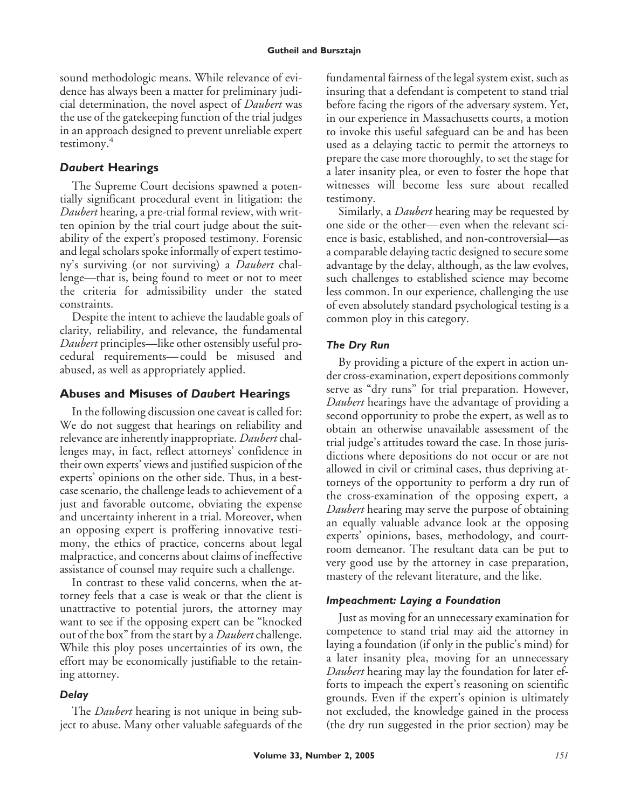sound methodologic means. While relevance of evidence has always been a matter for preliminary judicial determination, the novel aspect of *Daubert* was the use of the gatekeeping function of the trial judges in an approach designed to prevent unreliable expert testimony.<sup>4</sup>

## *Daubert* **Hearings**

The Supreme Court decisions spawned a potentially significant procedural event in litigation: the *Daubert* hearing, a pre-trial formal review, with written opinion by the trial court judge about the suitability of the expert's proposed testimony. Forensic and legal scholars spoke informally of expert testimony's surviving (or not surviving) a *Daubert* challenge—that is, being found to meet or not to meet the criteria for admissibility under the stated constraints.

Despite the intent to achieve the laudable goals of clarity, reliability, and relevance, the fundamental *Daubert* principles—like other ostensibly useful procedural requirements— could be misused and abused, as well as appropriately applied.

## **Abuses and Misuses of** *Daubert* **Hearings**

In the following discussion one caveat is called for: We do not suggest that hearings on reliability and relevance are inherently inappropriate. *Daubert* challenges may, in fact, reflect attorneys' confidence in their own experts' views and justified suspicion of the experts' opinions on the other side. Thus, in a bestcase scenario, the challenge leads to achievement of a just and favorable outcome, obviating the expense and uncertainty inherent in a trial. Moreover, when an opposing expert is proffering innovative testimony, the ethics of practice, concerns about legal malpractice, and concerns about claims of ineffective assistance of counsel may require such a challenge.

In contrast to these valid concerns, when the attorney feels that a case is weak or that the client is unattractive to potential jurors, the attorney may want to see if the opposing expert can be "knocked out of the box" from the start by a *Daubert* challenge. While this ploy poses uncertainties of its own, the effort may be economically justifiable to the retaining attorney.

## *Delay*

The *Daubert* hearing is not unique in being subject to abuse. Many other valuable safeguards of the fundamental fairness of the legal system exist, such as insuring that a defendant is competent to stand trial before facing the rigors of the adversary system. Yet, in our experience in Massachusetts courts, a motion to invoke this useful safeguard can be and has been used as a delaying tactic to permit the attorneys to prepare the case more thoroughly, to set the stage for a later insanity plea, or even to foster the hope that witnesses will become less sure about recalled testimony.

Similarly, a *Daubert* hearing may be requested by one side or the other— even when the relevant science is basic, established, and non-controversial—as a comparable delaying tactic designed to secure some advantage by the delay, although, as the law evolves, such challenges to established science may become less common. In our experience, challenging the use of even absolutely standard psychological testing is a common ploy in this category.

## *The Dry Run*

By providing a picture of the expert in action under cross-examination, expert depositions commonly serve as "dry runs" for trial preparation. However, *Daubert* hearings have the advantage of providing a second opportunity to probe the expert, as well as to obtain an otherwise unavailable assessment of the trial judge's attitudes toward the case. In those jurisdictions where depositions do not occur or are not allowed in civil or criminal cases, thus depriving attorneys of the opportunity to perform a dry run of the cross-examination of the opposing expert, a *Daubert* hearing may serve the purpose of obtaining an equally valuable advance look at the opposing experts' opinions, bases, methodology, and courtroom demeanor. The resultant data can be put to very good use by the attorney in case preparation, mastery of the relevant literature, and the like.

## *Impeachment: Laying a Foundation*

Just as moving for an unnecessary examination for competence to stand trial may aid the attorney in laying a foundation (if only in the public's mind) for a later insanity plea, moving for an unnecessary *Daubert* hearing may lay the foundation for later efforts to impeach the expert's reasoning on scientific grounds. Even if the expert's opinion is ultimately not excluded, the knowledge gained in the process (the dry run suggested in the prior section) may be